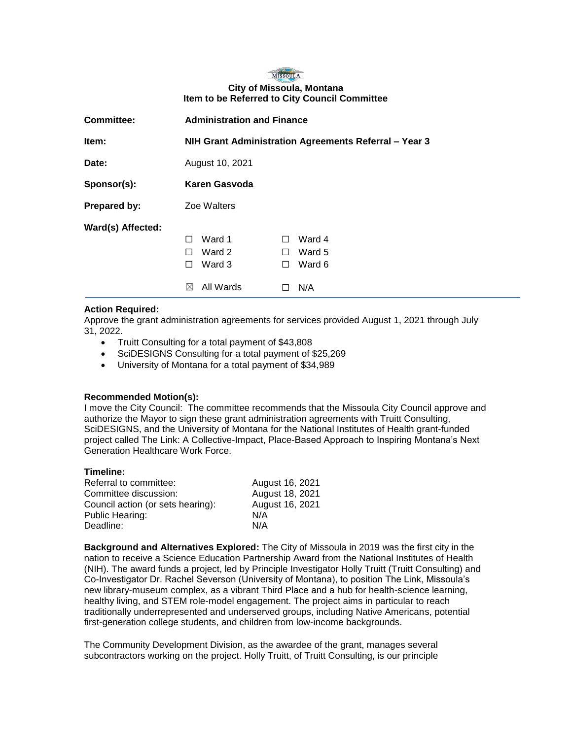## MISSOULA **City of Missoula, Montana Item to be Referred to City Council Committee**

| <b>Committee:</b> | <b>Administration and Finance</b>                     |                        |
|-------------------|-------------------------------------------------------|------------------------|
| Item:             | NIH Grant Administration Agreements Referral - Year 3 |                        |
| Date:             | August 10, 2021                                       |                        |
| Sponsor(s):       | <b>Karen Gasvoda</b>                                  |                        |
| Prepared by:      | Zoe Walters                                           |                        |
| Ward(s) Affected: |                                                       |                        |
|                   | Ward 1<br>П                                           | Ward 4<br>$\mathbf{1}$ |
|                   | Ward 2<br>$\perp$                                     | Ward 5<br>$\perp$      |
|                   | Ward 3<br>$\perp$                                     | Ward 6<br>$\perp$      |
|                   | All Wards<br>$\bowtie$                                | N/A                    |

## **Action Required:**

Approve the grant administration agreements for services provided August 1, 2021 through July 31, 2022.

- Truitt Consulting for a total payment of \$43,808
- SciDESIGNS Consulting for a total payment of \$25,269
- University of Montana for a total payment of \$34,989

### **Recommended Motion(s):**

I move the City Council: The committee recommends that the Missoula City Council approve and authorize the Mayor to sign these grant administration agreements with Truitt Consulting, SciDESIGNS, and the University of Montana for the National Institutes of Health grant-funded project called The Link: A Collective-Impact, Place-Based Approach to Inspiring Montana's Next Generation Healthcare Work Force.

# **Timeline:**

| Referral to committee:            | August 16, 2021 |
|-----------------------------------|-----------------|
| Committee discussion:             | August 18, 2021 |
| Council action (or sets hearing): | August 16, 2021 |
| Public Hearing:                   | N/A             |
| Deadline:                         | N/A             |

**Background and Alternatives Explored:** The City of Missoula in 2019 was the first city in the nation to receive a Science Education Partnership Award from the National Institutes of Health (NIH). The award funds a project, led by Principle Investigator Holly Truitt (Truitt Consulting) and Co-Investigator Dr. Rachel Severson (University of Montana), to position The Link, Missoula's new library-museum complex, as a vibrant Third Place and a hub for health-science learning, healthy living, and STEM role-model engagement. The project aims in particular to reach traditionally underrepresented and underserved groups, including Native Americans, potential first-generation college students, and children from low-income backgrounds.

The Community Development Division, as the awardee of the grant, manages several subcontractors working on the project. Holly Truitt, of Truitt Consulting, is our principle